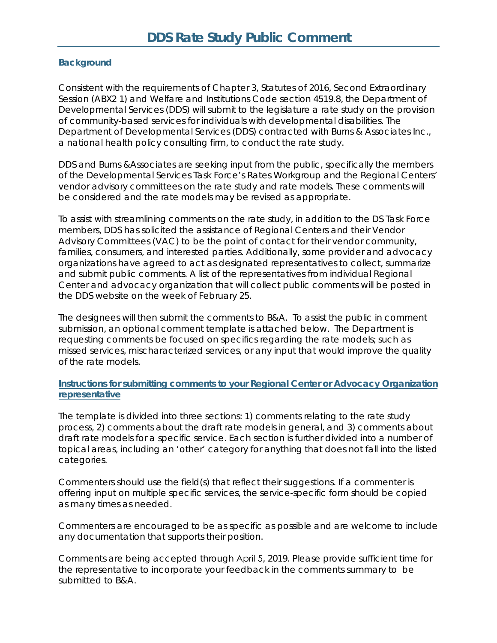#### **Background**

Consistent with the requirements of Chapter 3, Statutes of 2016, Second Extraordinary Session (ABX2 1) and Welfare and Institutions Code section 4519.8, the Department of Developmental Services (DDS) will submit to the legislature a rate study on the provision of community-based services for individuals with developmental disabilities. The Department of Developmental Services (DDS) contracted with Burns & Associates Inc., a national health policy consulting firm, to conduct the rate study.

DDS and Burns &Associates are seeking input from the public, specifically the members of the Developmental Services Task Force's Rates Workgroup and the Regional Centers' vendor advisory committees on the rate study and rate models. These comments will be considered and the rate models may be revised as appropriate.

To assist with streamlining comments on the rate study, in addition to the DS Task Force members, DDS has solicited the assistance of Regional Centers and their Vendor Advisory Committees (VAC) to be the point of contact for their vendor community, families, consumers, and interested parties. Additionally, some provider and advocacy organizations have agreed to act as designated representatives to collect, summarize and submit public comments. A list of the representatives from individual Regional Center and advocacy organization that will collect public comments will be posted in the DDS website on the week of February 25.

The designees will then submit the comments to B&A. To assist the public in comment submission, an optional comment template is attached below. The Department is requesting comments be focused on specifics regarding the rate models; such as missed services, mischaracterized services, or any input that would improve the quality of the rate models.

#### **Instructions for submitting comments to your Regional Center or Advocacy Organization representative**

The template is divided into three sections: 1) comments relating to the rate study process, 2) comments about the draft rate models in general, and 3) comments about draft rate models for a specific service. Each section is further divided into a number of topical areas, including an 'other' category for anything that does not fall into the listed categories.

Commenters should use the field(s) that reflect their suggestions. If a commenter is offering input on multiple specific services, the service-specific form should be copied as many times as needed.

Commenters are encouraged to be as specific as possible and are welcome to include any documentation that supports their position.

Comments are being accepted through April 5, 2019. Please provide sufficient time for the representative to incorporate your feedback in the comments summary to be submitted to B&A.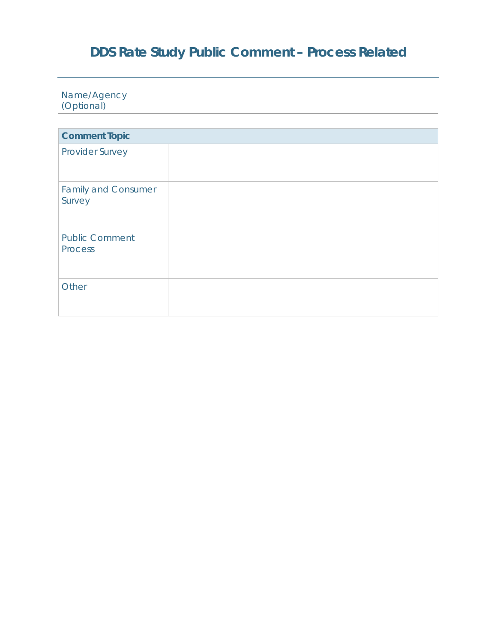# **DDS Rate Study Public Comment – Process Related**

Name/Agency (Optional)

| <b>Comment Topic</b>                    |  |
|-----------------------------------------|--|
| <b>Provider Survey</b>                  |  |
| <b>Family and Consumer</b><br>Survey    |  |
| <b>Public Comment</b><br><b>Process</b> |  |
| Other                                   |  |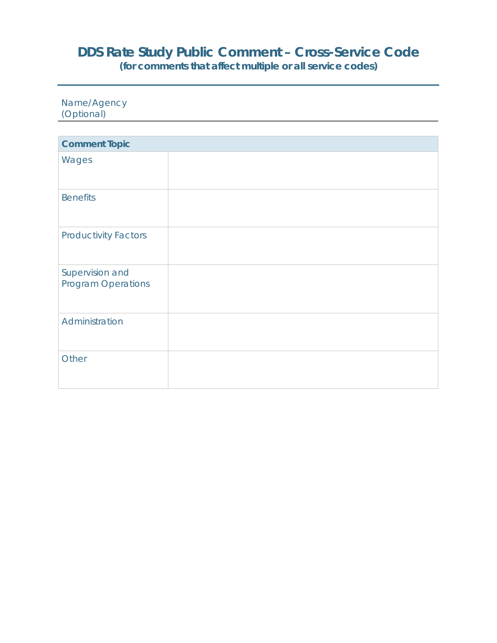# **DDS Rate Study Public Comment – Cross-Service Code**

**(for comments that affect multiple or all service codes)** 

Name/Agency (Optional)

| <b>Comment Topic</b>                         |  |
|----------------------------------------------|--|
| Wages                                        |  |
| <b>Benefits</b>                              |  |
| <b>Productivity Factors</b>                  |  |
| Supervision and<br><b>Program Operations</b> |  |
| Administration                               |  |
| Other                                        |  |